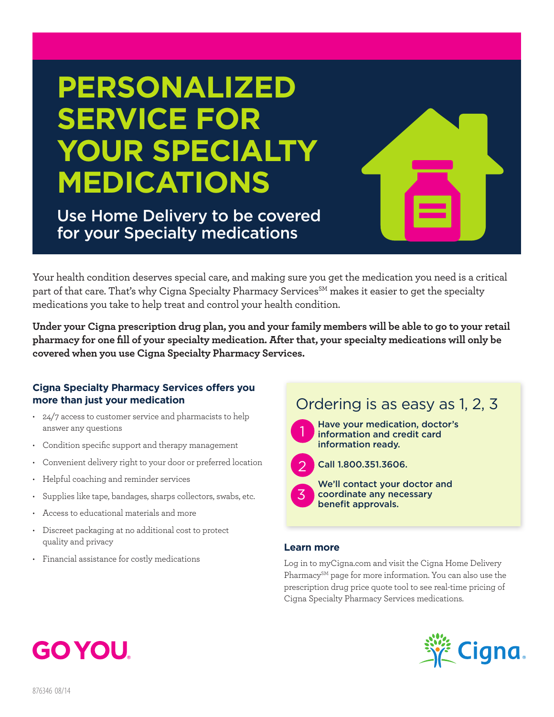# **PERSONALIZED SERVICE FOR YOUR SPECIALTY MEDICATIONS**

Use Home Delivery to be covered for your Specialty medications

Your health condition deserves special care, and making sure you get the medication you need is a critical part of that care. That's why Cigna Specialty Pharmacy Services<sup>SM</sup> makes it easier to get the specialty medications you take to help treat and control your health condition.

**Under your Cigna prescription drug plan, you and your family members will be able to go to your retail pharmacy for one fill of your specialty medication. After that, your specialty medications will only be covered when you use Cigna Specialty Pharmacy Services.** 

### **Cigna Specialty Pharmacy Services offers you more than just your medication**

- 24/7 access to customer service and pharmacists to help answer any questions
- • Condition specific support and therapy management
- Convenient delivery right to your door or preferred location
- Helpful coaching and reminder services
- Supplies like tape, bandages, sharps collectors, swabs, etc.
- • Access to educational materials and more
- • Discreet packaging at no additional cost to protect quality and privacy
- • Financial assistance for costly medications

## Ordering is as easy as 1, 2, 3



Have your medication, doctor's information and credit card information ready.



Call 1.800.351.3606.

3

We'll contact your doctor and coordinate any necessary benefit approvals.

### **Learn more**

Log in to myCigna.com and visit the Cigna Home Delivery Pharmacy<sup>SM</sup> page for more information. You can also use the prescription drug price quote tool to see real-time pricing of Cigna Specialty Pharmacy Services medications.